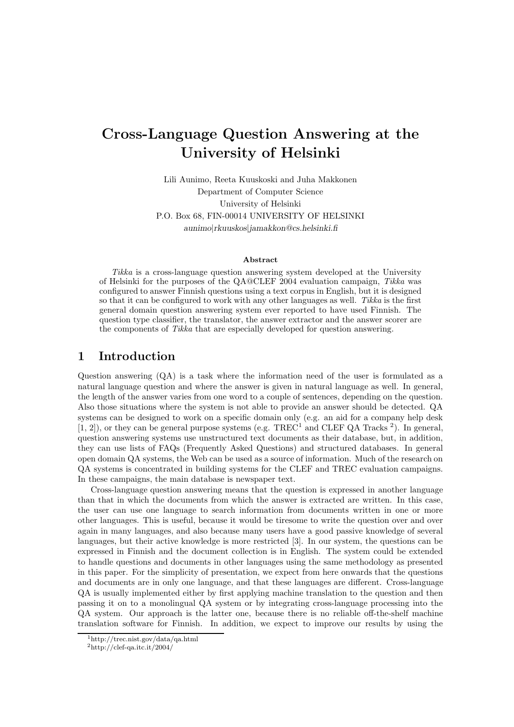# Cross-Language Question Answering at the University of Helsinki

Lili Aunimo, Reeta Kuuskoski and Juha Makkonen Department of Computer Science University of Helsinki P.O. Box 68, FIN-00014 UNIVERSITY OF HELSINKI aunimo|rkuuskos|jamakkon@cs.helsinki.fi

#### Abstract

Tikka is a cross-language question answering system developed at the University of Helsinki for the purposes of the QA@CLEF 2004 evaluation campaign, Tikka was configured to answer Finnish questions using a text corpus in English, but it is designed so that it can be configured to work with any other languages as well. Tikka is the first general domain question answering system ever reported to have used Finnish. The question type classifier, the translator, the answer extractor and the answer scorer are the components of Tikka that are especially developed for question answering.

### 1 Introduction

Question answering (QA) is a task where the information need of the user is formulated as a natural language question and where the answer is given in natural language as well. In general, the length of the answer varies from one word to a couple of sentences, depending on the question. Also those situations where the system is not able to provide an answer should be detected. QA systems can be designed to work on a specific domain only (e.g. an aid for a company help desk  $[1, 2]$ ), or they can be general purpose systems (e.g. TREC<sup>1</sup> and CLEF QA Tracks<sup>2</sup>). In general, question answering systems use unstructured text documents as their database, but, in addition, they can use lists of FAQs (Frequently Asked Questions) and structured databases. In general open domain QA systems, the Web can be used as a source of information. Much of the research on QA systems is concentrated in building systems for the CLEF and TREC evaluation campaigns. In these campaigns, the main database is newspaper text.

Cross-language question answering means that the question is expressed in another language than that in which the documents from which the answer is extracted are written. In this case, the user can use one language to search information from documents written in one or more other languages. This is useful, because it would be tiresome to write the question over and over again in many languages, and also because many users have a good passive knowledge of several languages, but their active knowledge is more restricted [3]. In our system, the questions can be expressed in Finnish and the document collection is in English. The system could be extended to handle questions and documents in other languages using the same methodology as presented in this paper. For the simplicity of presentation, we expect from here onwards that the questions and documents are in only one language, and that these languages are different. Cross-language QA is usually implemented either by first applying machine translation to the question and then passing it on to a monolingual QA system or by integrating cross-language processing into the QA system. Our approach is the latter one, because there is no reliable off-the-shelf machine translation software for Finnish. In addition, we expect to improve our results by using the

<sup>1</sup>http://trec.nist.gov/data/qa.html

 $^{2}$ http://clef-qa.itc.it/2004/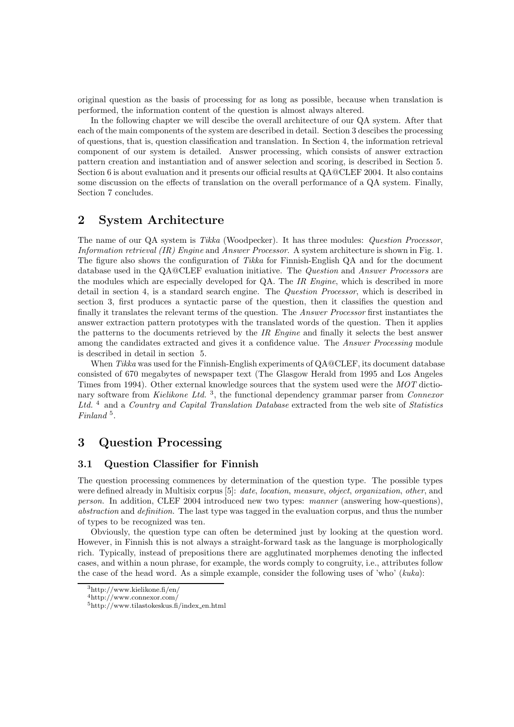original question as the basis of processing for as long as possible, because when translation is performed, the information content of the question is almost always altered.

In the following chapter we will descibe the overall architecture of our QA system. After that each of the main components of the system are described in detail. Section 3 descibes the processing of questions, that is, question classification and translation. In Section 4, the information retrieval component of our system is detailed. Answer processing, which consists of answer extraction pattern creation and instantiation and of answer selection and scoring, is described in Section 5. Section 6 is about evaluation and it presents our official results at QA@CLEF 2004. It also contains some discussion on the effects of translation on the overall performance of a QA system. Finally, Section 7 concludes.

### 2 System Architecture

The name of our QA system is Tikka (Woodpecker). It has three modules: Question Processor, Information retrieval (IR) Engine and Answer Processor. A system architecture is shown in Fig. 1. The figure also shows the configuration of Tikka for Finnish-English QA and for the document database used in the QA@CLEF evaluation initiative. The Question and Answer Processors are the modules which are especially developed for QA. The IR Engine, which is described in more detail in section 4, is a standard search engine. The Question Processor, which is described in section 3, first produces a syntactic parse of the question, then it classifies the question and finally it translates the relevant terms of the question. The Answer Processor first instantiates the answer extraction pattern prototypes with the translated words of the question. Then it applies the patterns to the documents retrieved by the IR Engine and finally it selects the best answer among the candidates extracted and gives it a confidence value. The *Answer Processing* module is described in detail in section 5.

When Tikka was used for the Finnish-English experiments of  $QA@CLEF$ , its document database consisted of 670 megabytes of newspaper text (The Glasgow Herald from 1995 and Los Angeles Times from 1994). Other external knowledge sources that the system used were the MOT dictionary software from Kielikone Ltd.<sup>3</sup>, the functional dependency grammar parser from Connexor Ltd. <sup>4</sup> and a Country and Capital Translation Database extracted from the web site of Statistics Finland<sup>5</sup>.

## 3 Question Processing

#### 3.1 Question Classifier for Finnish

The question processing commences by determination of the question type. The possible types were defined already in Multisix corpus [5]: date, location, measure, object, organization, other, and person. In addition, CLEF 2004 introduced new two types: manner (answering how-questions), abstraction and definition. The last type was tagged in the evaluation corpus, and thus the number of types to be recognized was ten.

Obviously, the question type can often be determined just by looking at the question word. However, in Finnish this is not always a straight-forward task as the language is morphologically rich. Typically, instead of prepositions there are agglutinated morphemes denoting the inflected cases, and within a noun phrase, for example, the words comply to congruity, i.e., attributes follow the case of the head word. As a simple example, consider the following uses of 'who' (kuka):

<sup>3</sup>http://www.kielikone.fi/en/

<sup>4</sup>http://www.connexor.com/

 $5$ http://www.tilastokeskus.fi/index\_en.html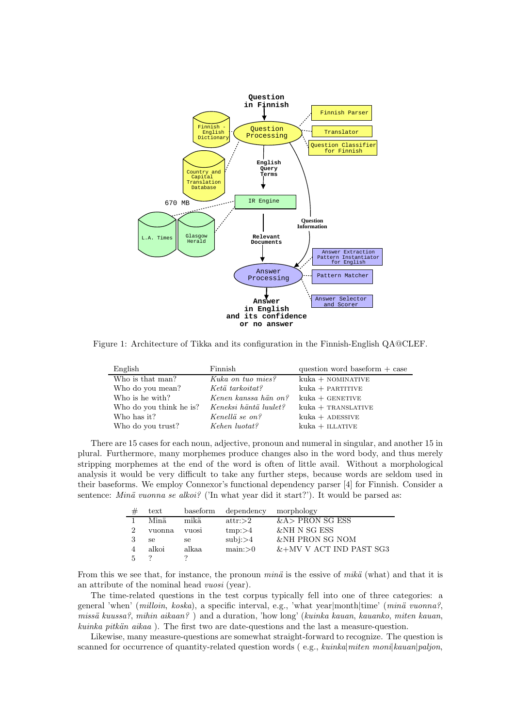

Figure 1: Architecture of Tikka and its configuration in the Finnish-English QA@CLEF.

| English                 | Finnish               | question word baseform $+$ case |
|-------------------------|-----------------------|---------------------------------|
| Who is that man?        | Kuka on tuo mies?     | $kuka + NOMINATIVE$             |
| Who do you mean?        | Ketä tarkoitat?       | $kuka + PARTITIVE$              |
| Who is he with?         | Kenen kanssa hän on?  | $kuka + GENETIVE$               |
| Who do you think he is? | Keneksi häntä luulet? | $kuka + TRANSLATIVE$            |
| Who has it?             | Kenellä se on?        | $kuka + ADESSIVE$               |
| Who do you trust?       | Kehen luotat?         | $kuka + ILLATIVE$               |

There are 15 cases for each noun, adjective, pronoun and numeral in singular, and another 15 in plural. Furthermore, many morphemes produce changes also in the word body, and thus merely stripping morphemes at the end of the word is often of little avail. Without a morphological analysis it would be very difficult to take any further steps, because words are seldom used in their baseforms. We employ Connexor's functional dependency parser [4] for Finnish. Consider a sentence: Minä vuonna se alkoi? ('In what year did it start?'). It would be parsed as:

| # | text   | baseform      | dependency       | morphology                 |
|---|--------|---------------|------------------|----------------------------|
|   | Minä   | mikä          | $\text{attr}:>2$ | $&$ A > PRON SG ESS        |
| 2 | vuonna | <b>VIIOSI</b> | tmp: > 4         | <b>&amp;NH N SG ESS</b>    |
|   | se.    | se            | $sub$ j: $>4$    | <b>&amp;NH PRON SG NOM</b> |
|   | alkoi  | alkaa         | main: >0         | $&+M$ V V ACT IND PAST SG3 |
|   |        |               |                  |                            |

From this we see that, for instance, the pronoun mina is the essive of mika (what) and that it is an attribute of the nominal head vuosi (year).

The time-related questions in the test corpus typically fell into one of three categories: a general 'when' (milloin, koska), a specific interval, e.g., 'what year|month|time' (minä vuonna?, missä kuussa?, mihin aikaan?) and a duration, 'how long' (kuinka kauan, kauanko, miten kauan,  $kuinta pitkän aikaa$ ). The first two are date-questions and the last a measure-question.

Likewise, many measure-questions are somewhat straight-forward to recognize. The question is scanned for occurrence of quantity-related question words (e.g., kuinka|miten moni|kauan|paljon,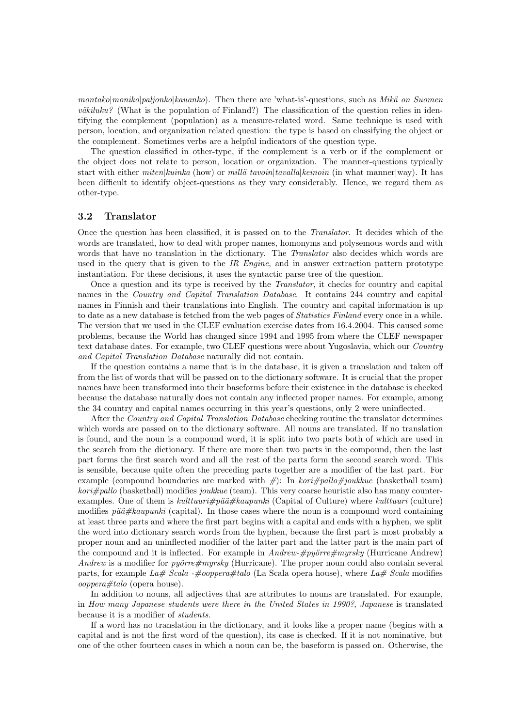montako|moniko|paljonko|kauanko). Then there are 'what-is'-questions, such as Mikä on Suomen  $v\ddot{a}kiluku?$  (What is the population of Finland?) The classification of the question relies in identifying the complement (population) as a measure-related word. Same technique is used with person, location, and organization related question: the type is based on classifying the object or the complement. Sometimes verbs are a helpful indicators of the question type.

The question classified in other-type, if the complement is a verb or if the complement or the object does not relate to person, location or organization. The manner-questions typically start with either *miten|kuinka* (how) or *millä tavoin|tavalla|keinoin* (in what manner|way). It has been difficult to identify object-questions as they vary considerably. Hence, we regard them as other-type.

#### 3.2 Translator

Once the question has been classified, it is passed on to the Translator. It decides which of the words are translated, how to deal with proper names, homonyms and polysemous words and with words that have no translation in the dictionary. The *Translator* also decides which words are used in the query that is given to the IR Engine, and in answer extraction pattern prototype instantiation. For these decisions, it uses the syntactic parse tree of the question.

Once a question and its type is received by the Translator, it checks for country and capital names in the Country and Capital Translation Database. It contains 244 country and capital names in Finnish and their translations into English. The country and capital information is up to date as a new database is fetched from the web pages of *Statistics Finland* every once in a while. The version that we used in the CLEF evaluation exercise dates from 16.4.2004. This caused some problems, because the World has changed since 1994 and 1995 from where the CLEF newspaper text database dates. For example, two CLEF questions were about Yugoslavia, which our Country and Capital Translation Database naturally did not contain.

If the question contains a name that is in the database, it is given a translation and taken off from the list of words that will be passed on to the dictionary software. It is crucial that the proper names have been transformed into their baseforms before their existence in the database is checked because the database naturally does not contain any inflected proper names. For example, among the 34 country and capital names occurring in this year's questions, only 2 were uninflected.

After the Country and Capital Translation Database checking routine the translator determines which words are passed on to the dictionary software. All nouns are translated. If no translation is found, and the noun is a compound word, it is split into two parts both of which are used in the search from the dictionary. If there are more than two parts in the compound, then the last part forms the first search word and all the rest of the parts form the second search word. This is sensible, because quite often the preceding parts together are a modifier of the last part. For example (compound boundaries are marked with  $\#$ ): In kori#pallo#joukkue (basketball team)  $kori \neq palle$  (basketball) modifies joukkue (team). This very coarse heuristic also has many counterexamples. One of them is  $kulttuuri\#pää\#kaupunki$  (Capital of Culture) where  $kulttuuri$  (culture) modifies  $\tilde{v}a\tilde{a} \#kauounki$  (capital). In those cases where the noun is a compound word containing at least three parts and where the first part begins with a capital and ends with a hyphen, we split the word into dictionary search words from the hyphen, because the first part is most probably a proper noun and an uninflected modifier of the latter part and the latter part is the main part of the compound and it is inflected. For example in  $Andrew\#py\ddot{o}rref{myrsky}$  (Hurricane Andrew) Andrew is a modifier for *pyörre#myrsky* (Hurricane). The proper noun could also contain several parts, for example La# Scala -#ooppera#talo (La Scala opera house), where La# Scala modifies ooppera#talo (opera house).

In addition to nouns, all adjectives that are attributes to nouns are translated. For example, in How many Japanese students were there in the United States in 1990?, Japanese is translated because it is a modifier of students.

If a word has no translation in the dictionary, and it looks like a proper name (begins with a capital and is not the first word of the question), its case is checked. If it is not nominative, but one of the other fourteen cases in which a noun can be, the baseform is passed on. Otherwise, the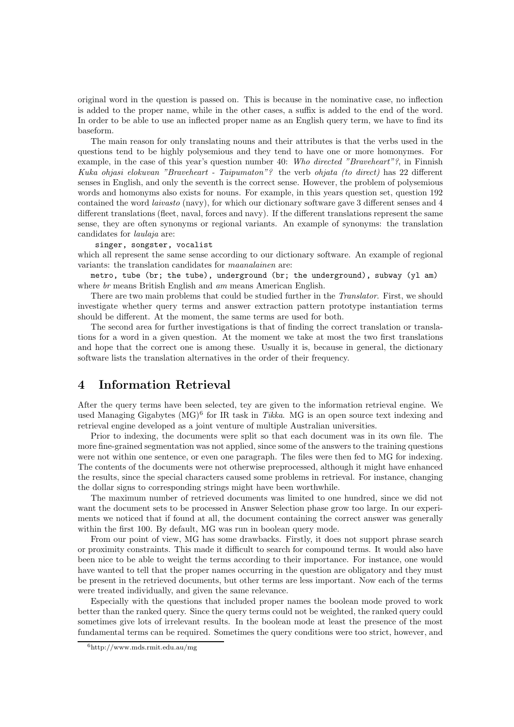original word in the question is passed on. This is because in the nominative case, no inflection is added to the proper name, while in the other cases, a suffix is added to the end of the word. In order to be able to use an inflected proper name as an English query term, we have to find its baseform.

The main reason for only translating nouns and their attributes is that the verbs used in the questions tend to be highly polysemious and they tend to have one or more homonymes. For example, in the case of this year's question number 40: Who directed "Braveheart"?, in Finnish Kuka ohjasi elokuvan "Braveheart - Taipumaton"? the verb ohjata (to direct) has 22 different senses in English, and only the seventh is the correct sense. However, the problem of polysemious words and homonyms also exists for nouns. For example, in this years question set, question 192 contained the word laivasto (navy), for which our dictionary software gave 3 different senses and 4 different translations (fleet, naval, forces and navy). If the different translations represent the same sense, they are often synonyms or regional variants. An example of synonyms: the translation candidates for laulaja are:

#### singer, songster, vocalist

which all represent the same sense according to our dictionary software. An example of regional variants: the translation candidates for maanalainen are:

metro, tube (br; the tube), underground (br; the underground), subway (yl am) where br means British English and am means American English.

There are two main problems that could be studied further in the Translator. First, we should investigate whether query terms and answer extraction pattern prototype instantiation terms should be different. At the moment, the same terms are used for both.

The second area for further investigations is that of finding the correct translation or translations for a word in a given question. At the moment we take at most the two first translations and hope that the correct one is among these. Usually it is, because in general, the dictionary software lists the translation alternatives in the order of their frequency.

### 4 Information Retrieval

After the query terms have been selected, tey are given to the information retrieval engine. We used Managing Gigabytes  $(MG)^6$  for IR task in Tikka. MG is an open source text indexing and retrieval engine developed as a joint venture of multiple Australian universities.

Prior to indexing, the documents were split so that each document was in its own file. The more fine-grained segmentation was not applied, since some of the answers to the training questions were not within one sentence, or even one paragraph. The files were then fed to MG for indexing. The contents of the documents were not otherwise preprocessed, although it might have enhanced the results, since the special characters caused some problems in retrieval. For instance, changing the dollar signs to corresponding strings might have been worthwhile.

The maximum number of retrieved documents was limited to one hundred, since we did not want the document sets to be processed in Answer Selection phase grow too large. In our experiments we noticed that if found at all, the document containing the correct answer was generally within the first 100. By default, MG was run in boolean query mode.

From our point of view, MG has some drawbacks. Firstly, it does not support phrase search or proximity constraints. This made it difficult to search for compound terms. It would also have been nice to be able to weight the terms according to their importance. For instance, one would have wanted to tell that the proper names occurring in the question are obligatory and they must be present in the retrieved documents, but other terms are less important. Now each of the terms were treated individually, and given the same relevance.

Especially with the questions that included proper names the boolean mode proved to work better than the ranked query. Since the query terms could not be weighted, the ranked query could sometimes give lots of irrelevant results. In the boolean mode at least the presence of the most fundamental terms can be required. Sometimes the query conditions were too strict, however, and

<sup>6</sup>http://www.mds.rmit.edu.au/mg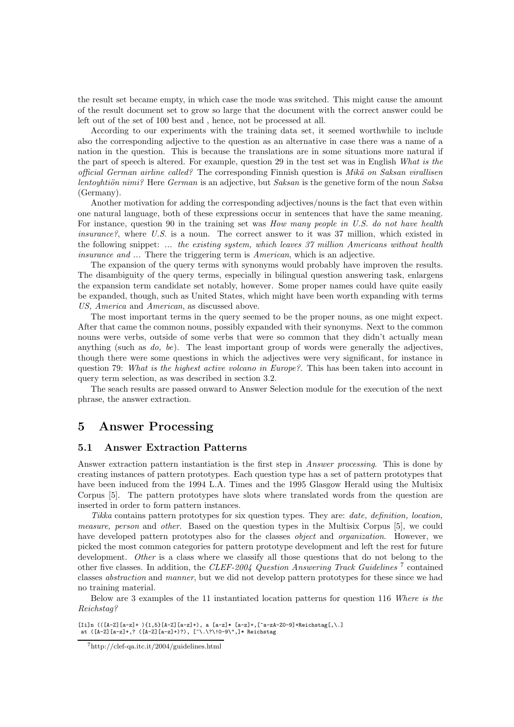the result set became empty, in which case the mode was switched. This might cause the amount of the result document set to grow so large that the document with the correct answer could be left out of the set of 100 best and , hence, not be processed at all.

According to our experiments with the training data set, it seemed worthwhile to include also the corresponding adjective to the question as an alternative in case there was a name of a nation in the question. This is because the translations are in some situations more natural if the part of speech is altered. For example, question 29 in the test set was in English What is the official German airline called? The corresponding Finnish question is Mikä on Saksan virallisen lentoyhtiön nimi? Here German is an adjective, but Saksan is the genetive form of the noun Saksa (Germany).

Another motivation for adding the corresponding adjectives/nouns is the fact that even within one natural language, both of these expressions occur in sentences that have the same meaning. For instance, question 90 in the training set was *How many people in U.S. do not have health* insurance?, where U.S. is a noun. The correct answer to it was 37 million, which existed in the following snippet: ... the existing system, which leaves 37 million Americans without health insurance and ... There the triggering term is American, which is an adjective.

The expansion of the query terms with synonyms would probably have improven the results. The disambiguity of the query terms, especially in bilingual question answering task, enlargens the expansion term candidate set notably, however. Some proper names could have quite easily be expanded, though, such as United States, which might have been worth expanding with terms US, America and American, as discussed above.

The most important terms in the query seemed to be the proper nouns, as one might expect. After that came the common nouns, possibly expanded with their synonyms. Next to the common nouns were verbs, outside of some verbs that were so common that they didn't actually mean anything (such as  $do, be$ ). The least important group of words were generally the adjectives, though there were some questions in which the adjectives were very significant, for instance in question 79: What is the highest active volcano in Europe?. This has been taken into account in query term selection, as was described in section 3.2.

The seach results are passed onward to Answer Selection module for the execution of the next phrase, the answer extraction.

### 5 Answer Processing

#### 5.1 Answer Extraction Patterns

Answer extraction pattern instantiation is the first step in Answer processing. This is done by creating instances of pattern prototypes. Each question type has a set of pattern prototypes that have been induced from the 1994 L.A. Times and the 1995 Glasgow Herald using the Multisix Corpus [5]. The pattern prototypes have slots where translated words from the question are inserted in order to form pattern instances.

Tikka contains pattern prototypes for six question types. They are: date, definition, location, measure, person and other. Based on the question types in the Multisix Corpus [5], we could have developed pattern prototypes also for the classes *object* and *organization*. However, we picked the most common categories for pattern prototype development and left the rest for future development. Other is a class where we classify all those questions that do not belong to the other five classes. In addition, the CLEF-2004 Question Answering Track Guidelines<sup>7</sup> contained classes abstraction and manner, but we did not develop pattern prototypes for these since we had no training material.

Below are 3 examples of the 11 instantiated location patterns for question 116 Where is the Reichstag?

 $[i]n$  (( $[A-Z]$ [a-z]+ ) $\{1,5\}$ [A-Z][a-z]+), a [a-z]\* [a-z]+,[^a-zA-Z0-9]+Reichstag[,\.] at ([A-Z][a-z]+,? ([A-Z][a-z]+)?), [^\.\?\!0-9\",]\* Reichstag

<sup>7</sup>http://clef-qa.itc.it/2004/guidelines.html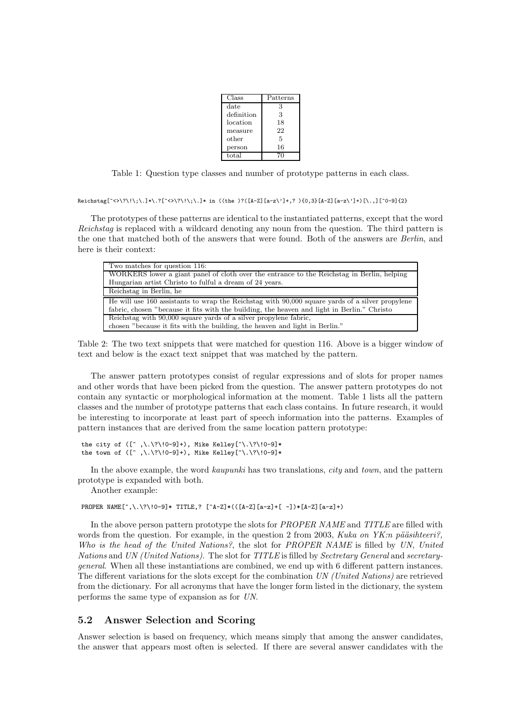| Class      | Patterns |
|------------|----------|
| date       | 3        |
| definition | 3        |
| location   | 18       |
| measure    | 22       |
| other      | 5        |
| person     | 16       |
| total      |          |

Table 1: Question type classes and number of prototype patterns in each class.

```
Reichstag[^<>\?\!\;\.]*\.?[^<>\?\!\;\.]* in ((the )?([A-Z][a-z\']+,? ){0,3}[A-Z][a-z\']+)[\.,][^0-9]{2}
```
The prototypes of these patterns are identical to the instantiated patterns, except that the word Reichstag is replaced with a wildcard denoting any noun from the question. The third pattern is the one that matched both of the answers that were found. Both of the answers are Berlin, and here is their context:

| Two matches for question 116:                                                                   |
|-------------------------------------------------------------------------------------------------|
| WORKERS lower a giant panel of cloth over the entrance to the Reichstag in Berlin, helping      |
| Hungarian artist Christo to fulful a dream of 24 years.                                         |
| Reichstag in Berlin, he                                                                         |
| He will use 160 assistants to wrap the Reichstag with 90,000 square yards of a silver propylene |
| fabric, chosen "because it fits with the building, the heaven and light in Berlin." Christo     |
| Reichstag with 90,000 square yards of a silver propylene fabric,                                |
| chosen "because it fits with the building, the heaven and light in Berlin."                     |

Table 2: The two text snippets that were matched for question 116. Above is a bigger window of text and below is the exact text snippet that was matched by the pattern.

The answer pattern prototypes consist of regular expressions and of slots for proper names and other words that have been picked from the question. The answer pattern prototypes do not contain any syntactic or morphological information at the moment. Table 1 lists all the pattern classes and the number of prototype patterns that each class contains. In future research, it would be interesting to incorporate at least part of speech information into the patterns. Examples of pattern instances that are derived from the same location pattern prototype:

```
the city of ([\hat{ } \ , \ \ \ \ \ \ \ \ \ Mike Kelley[\ \ \ \ \ \ \ \ \ \the town of ([ \hat{\ } \, , \rangle \, . \rangle ? \setminus 10-9]+), Mike Kelley[ \hat{\ } \rangle \, . \rangle ? \setminus 10-9]*
```
In the above example, the word kaupunki has two translations, *city* and *town*, and the pattern prototype is expanded with both.

Another example:

PROPER NAME $[\hat{\ } , \rangle, \rangle$ ? $(0-9] *$  TITLE,?  $[\hat{A}-Z] * (([A-Z][a-z]+[-1]) * [A-Z][a-z]+)$ 

In the above person pattern prototype the slots for PROPER NAME and TITLE are filled with words from the question. For example, in the question 2 from 2003, Kuka on YK:n pääsihteeri?, Who is the head of the United Nations?, the slot for PROPER NAME is filled by UN, United Nations and UN (United Nations). The slot for TITLE is filled by Sectretary General and secretarygeneral. When all these instantiations are combined, we end up with 6 different pattern instances. The different variations for the slots except for the combination UN (United Nations) are retrieved from the dictionary. For all acronyms that have the longer form listed in the dictionary, the system performs the same type of expansion as for UN.

#### 5.2 Answer Selection and Scoring

Answer selection is based on frequency, which means simply that among the answer candidates, the answer that appears most often is selected. If there are several answer candidates with the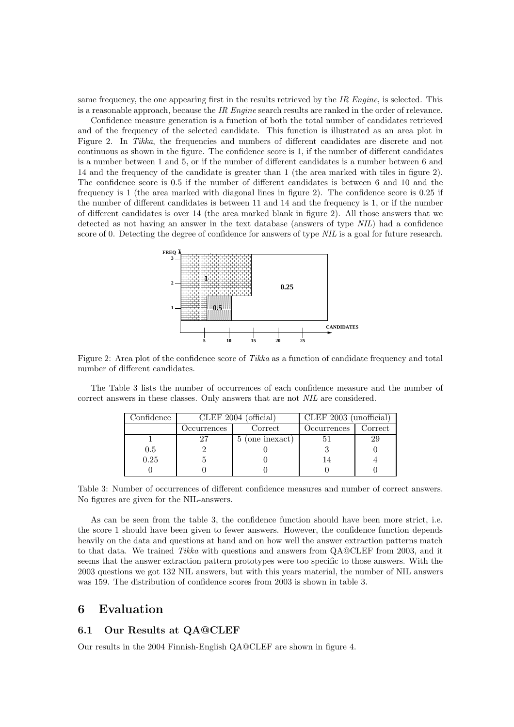same frequency, the one appearing first in the results retrieved by the IR Engine, is selected. This is a reasonable approach, because the IR Engine search results are ranked in the order of relevance.

Confidence measure generation is a function of both the total number of candidates retrieved and of the frequency of the selected candidate. This function is illustrated as an area plot in Figure 2. In Tikka, the frequencies and numbers of different candidates are discrete and not continuous as shown in the figure. The confidence score is 1, if the number of different candidates is a number between 1 and 5, or if the number of different candidates is a number between 6 and 14 and the frequency of the candidate is greater than 1 (the area marked with tiles in figure 2). The confidence score is 0.5 if the number of different candidates is between 6 and 10 and the frequency is 1 (the area marked with diagonal lines in figure 2). The confidence score is 0.25 if the number of different candidates is between 11 and 14 and the frequency is 1, or if the number of different candidates is over 14 (the area marked blank in figure 2). All those answers that we detected as not having an answer in the text database (answers of type NIL) had a confidence score of 0. Detecting the degree of confidence for answers of type NIL is a goal for future research.



Figure 2: Area plot of the confidence score of Tikka as a function of candidate frequency and total number of different candidates.

The Table 3 lists the number of occurrences of each confidence measure and the number of correct answers in these classes. Only answers that are not NIL are considered.

| $\mathop{{\rm Confdence}}$ | CLEF 2004 (official) |                          | $CLEF$ 2003 (unofficial) |                          |
|----------------------------|----------------------|--------------------------|--------------------------|--------------------------|
|                            | )ccurrences          | $\operatorname{Correct}$ | Occurrences              | $\operatorname{Correct}$ |
|                            |                      | (one inexact)            |                          |                          |
| 0.5                        |                      |                          |                          |                          |
| 0.25                       |                      |                          |                          |                          |
|                            |                      |                          |                          |                          |

Table 3: Number of occurrences of different confidence measures and number of correct answers. No figures are given for the NIL-answers.

As can be seen from the table 3, the confidence function should have been more strict, i.e. the score 1 should have been given to fewer answers. However, the confidence function depends heavily on the data and questions at hand and on how well the answer extraction patterns match to that data. We trained Tikka with questions and answers from QA@CLEF from 2003, and it seems that the answer extraction pattern prototypes were too specific to those answers. With the 2003 questions we got 132 NIL answers, but with this years material, the number of NIL answers was 159. The distribution of confidence scores from 2003 is shown in table 3.

### 6 Evaluation

#### 6.1 Our Results at QA@CLEF

Our results in the 2004 Finnish-English QA@CLEF are shown in figure 4.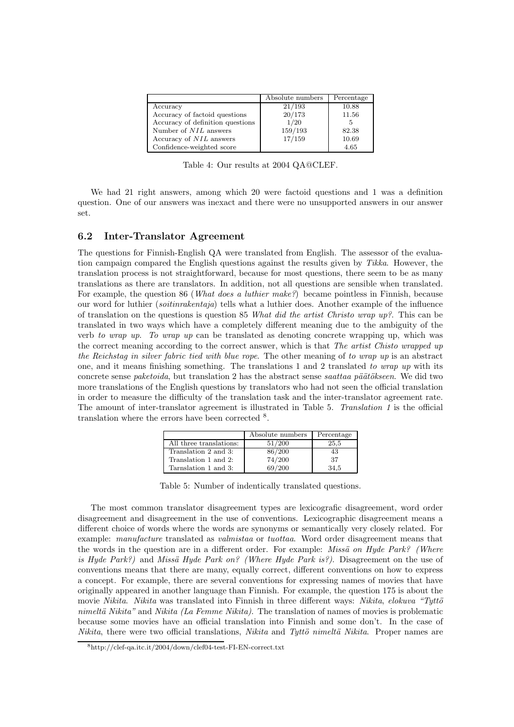|                                  | Absolute numbers | Percentage |
|----------------------------------|------------------|------------|
| Accuracy                         | 21/193           | 10.88      |
| Accuracy of factoid questions    | 20/173           | 11.56      |
| Accuracy of definition questions | 1/20             | 5          |
| Number of <i>NIL</i> answers     | 159/193          | 82.38      |
| Accuracy of <i>NIL</i> answers   | 17/159           | 10.69      |
| Confidence-weighted score        |                  | 4.65       |

Table 4: Our results at 2004 QA@CLEF.

We had 21 right answers, among which 20 were factoid questions and 1 was a definition question. One of our answers was inexact and there were no unsupported answers in our answer set.

#### 6.2 Inter-Translator Agreement

The questions for Finnish-English QA were translated from English. The assessor of the evaluation campaign compared the English questions against the results given by Tikka. However, the translation process is not straightforward, because for most questions, there seem to be as many translations as there are translators. In addition, not all questions are sensible when translated. For example, the question 86 (*What does a luthier make?*) became pointless in Finnish, because our word for luthier (soitinrakentaja) tells what a luthier does. Another example of the influence of translation on the questions is question 85 What did the artist Christo wrap up?. This can be translated in two ways which have a completely different meaning due to the ambiguity of the verb to wrap up. To wrap up can be translated as denoting concrete wrapping up, which was the correct meaning according to the correct answer, which is that The artist Chisto wrapped up the Reichstag in silver fabric tied with blue rope. The other meaning of to wrap up is an abstract one, and it means finishing something. The translations 1 and 2 translated to wrap up with its concrete sense *paketoida*, but translation 2 has the abstract sense *saattaa päätökseen*. We did two more translations of the English questions by translators who had not seen the official translation in order to measure the difficulty of the translation task and the inter-translator agreement rate. The amount of inter-translator agreement is illustrated in Table 5. Translation 1 is the official translation where the errors have been corrected <sup>8</sup> .

|                         | Absolute numbers | Percentage |
|-------------------------|------------------|------------|
| All three translations: | 51/200           | 25.5       |
| Translation 2 and 3:    | 86/200           | 43         |
| Translation 1 and 2:    | 74/200           | 37         |
| Tarnslation 1 and 3:    | 69/200           | 34.5       |

Table 5: Number of indentically translated questions.

The most common translator disagreement types are lexicografic disagreement, word order disagreement and disagreement in the use of conventions. Lexicographic disagreement means a different choice of words where the words are synonyms or semantically very closely related. For example: manufacture translated as valmistaa or tuottaa. Word order disagreement means that the words in the question are in a different order. For example: *Missä on Hyde Park? (Where* is Hyde Park?) and Missä Hyde Park on? (Where Hyde Park is?). Disagreement on the use of conventions means that there are many, equally correct, different conventions on how to express a concept. For example, there are several conventions for expressing names of movies that have originally appeared in another language than Finnish. For example, the question 175 is about the movie Nikita. Nikita was translated into Finnish in three different ways: Nikita, elokuva "Tyttö" nimeltä Nikita" and Nikita (La Femme Nikita). The translation of names of movies is problematic because some movies have an official translation into Finnish and some don't. In the case of  $Nikita$ , there were two official translations, Nikita and Tyttö nimeltä Nikita. Proper names are

<sup>8</sup>http://clef-qa.itc.it/2004/down/clef04-test-FI-EN-correct.txt